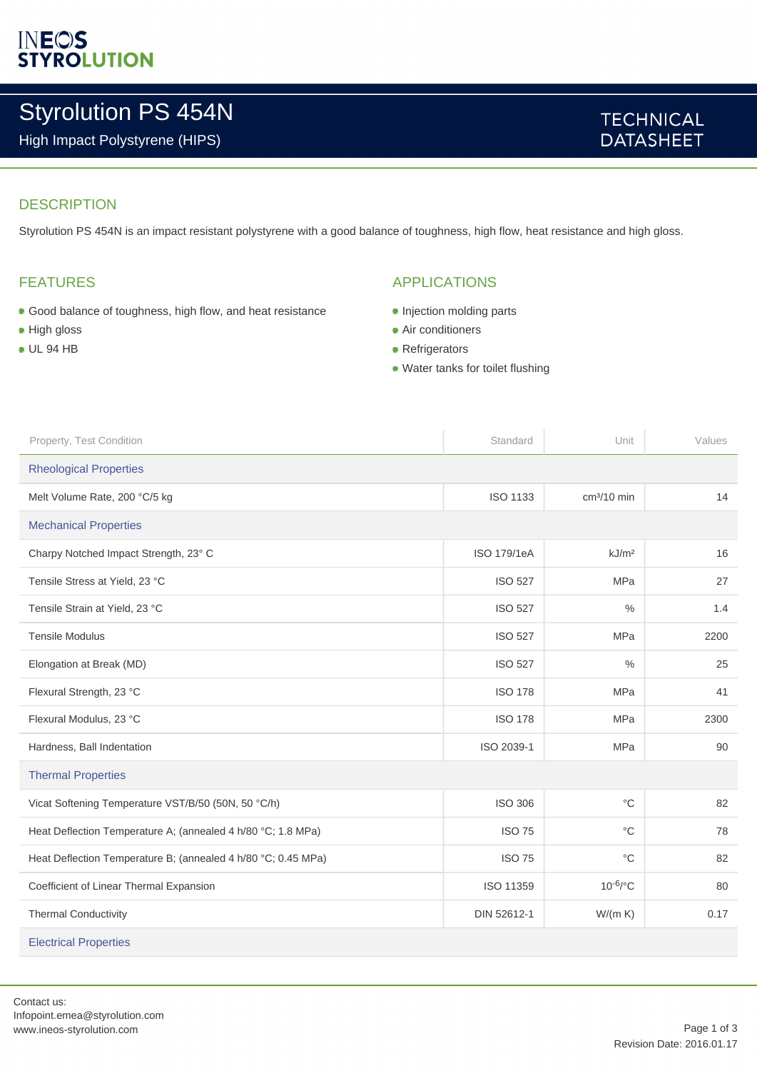## **INEOS**<br>STYROLUTION

## Styrolution PS 454N

High Impact Polystyrene (HIPS)

#### **TECHNICAL DATASHEET**

#### **DESCRIPTION**

Styrolution PS 454N is an impact resistant polystyrene with a good balance of toughness, high flow, heat resistance and high gloss.

#### FEATURES

- Good balance of toughness, high flow, and heat resistance
- **High gloss**
- UL 94 HB

#### APPLICATIONS

- **Injection molding parts**
- **Air conditioners**
- Refrigerators
- Water tanks for toilet flushing

| Property, Test Condition                                      | Standard           | Unit              | Values |  |
|---------------------------------------------------------------|--------------------|-------------------|--------|--|
| <b>Rheological Properties</b>                                 |                    |                   |        |  |
| Melt Volume Rate, 200 °C/5 kg                                 | <b>ISO 1133</b>    | $cm3/10$ min      | 14     |  |
| <b>Mechanical Properties</b>                                  |                    |                   |        |  |
| Charpy Notched Impact Strength, 23° C                         | <b>ISO 179/1eA</b> | kJ/m <sup>2</sup> | 16     |  |
| Tensile Stress at Yield, 23 °C                                | <b>ISO 527</b>     | <b>MPa</b>        | 27     |  |
| Tensile Strain at Yield, 23 °C                                | <b>ISO 527</b>     | $\%$              | 1.4    |  |
| <b>Tensile Modulus</b>                                        | <b>ISO 527</b>     | <b>MPa</b>        | 2200   |  |
| Elongation at Break (MD)                                      | <b>ISO 527</b>     | $\frac{0}{0}$     | 25     |  |
| Flexural Strength, 23 °C                                      | <b>ISO 178</b>     | <b>MPa</b>        | 41     |  |
| Flexural Modulus, 23 °C                                       | <b>ISO 178</b>     | <b>MPa</b>        | 2300   |  |
| Hardness, Ball Indentation                                    | ISO 2039-1         | <b>MPa</b>        | 90     |  |
| <b>Thermal Properties</b>                                     |                    |                   |        |  |
| Vicat Softening Temperature VST/B/50 (50N, 50 °C/h)           | <b>ISO 306</b>     | $^{\circ}C$       | 82     |  |
| Heat Deflection Temperature A; (annealed 4 h/80 °C; 1.8 MPa)  | <b>ISO 75</b>      | $^{\circ}C$       | 78     |  |
| Heat Deflection Temperature B; (annealed 4 h/80 °C; 0.45 MPa) | <b>ISO 75</b>      | $^{\circ}C$       | 82     |  |
| Coefficient of Linear Thermal Expansion                       | ISO 11359          | $10^{-6}$ /°C     | 80     |  |
| <b>Thermal Conductivity</b>                                   | DIN 52612-1        | W/(m K)           | 0.17   |  |
| <b>Electrical Properties</b>                                  |                    |                   |        |  |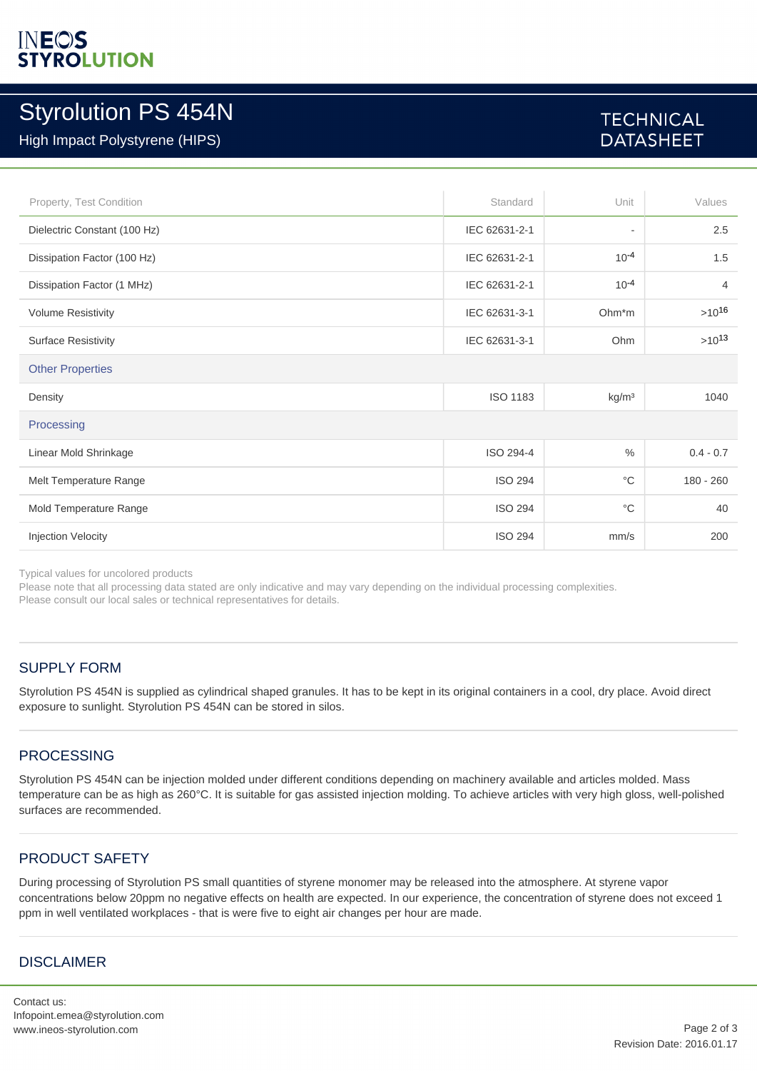# **INEOS**<br>STYROLUTION

### Styrolution PS 454N

#### High Impact Polystyrene (HIPS)

### **TECHNICAL DATASHEET**

| Property, Test Condition     | Standard        | Unit                     | Values         |  |
|------------------------------|-----------------|--------------------------|----------------|--|
| Dielectric Constant (100 Hz) | IEC 62631-2-1   | $\overline{\phantom{a}}$ | 2.5            |  |
| Dissipation Factor (100 Hz)  | IEC 62631-2-1   | $10^{-4}$                | 1.5            |  |
| Dissipation Factor (1 MHz)   | IEC 62631-2-1   | $10^{-4}$                | $\overline{4}$ |  |
| <b>Volume Resistivity</b>    | IEC 62631-3-1   | Ohm <sup>*</sup> m       | $>10^{16}$     |  |
| <b>Surface Resistivity</b>   | IEC 62631-3-1   | Ohm                      | $>10^{13}$     |  |
| <b>Other Properties</b>      |                 |                          |                |  |
| Density                      | <b>ISO 1183</b> | kg/m <sup>3</sup>        | 1040           |  |
| Processing                   |                 |                          |                |  |
| Linear Mold Shrinkage        | ISO 294-4       | $\frac{0}{0}$            | $0.4 - 0.7$    |  |
| Melt Temperature Range       | <b>ISO 294</b>  | $^{\circ}$ C             | $180 - 260$    |  |
| Mold Temperature Range       | <b>ISO 294</b>  | $^{\circ}$ C             | 40             |  |
| Injection Velocity           | <b>ISO 294</b>  | mm/s                     | 200            |  |

Typical values for uncolored products

Please note that all processing data stated are only indicative and may vary depending on the individual processing complexities.

Please consult our local sales or technical representatives for details.

#### SUPPLY FORM

Styrolution PS 454N is supplied as cylindrical shaped granules. It has to be kept in its original containers in a cool, dry place. Avoid direct exposure to sunlight. Styrolution PS 454N can be stored in silos.

#### PROCESSING

Styrolution PS 454N can be injection molded under different conditions depending on machinery available and articles molded. Mass temperature can be as high as 260°C. It is suitable for gas assisted injection molding. To achieve articles with very high gloss, well-polished surfaces are recommended.

#### PRODUCT SAFETY

During processing of Styrolution PS small quantities of styrene monomer may be released into the atmosphere. At styrene vapor concentrations below 20ppm no negative effects on health are expected. In our experience, the concentration of styrene does not exceed 1 ppm in well ventilated workplaces - that is were five to eight air changes per hour are made.

#### DISCLAIMER

Contact us: Infopoint.emea@styrolution.com www.ineos-styrolution.com Page 2 of 3